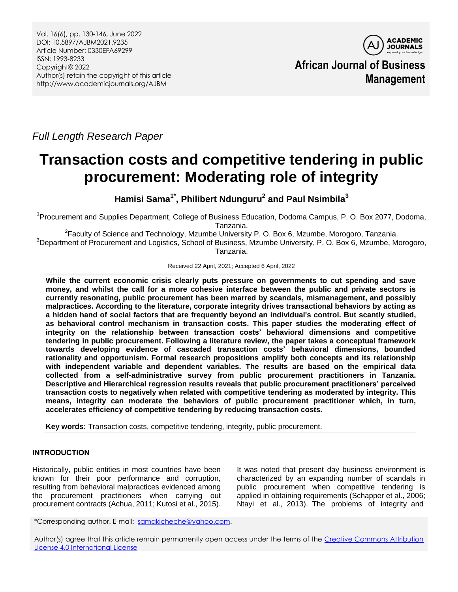

*Full Length Research Paper*

# **Transaction costs and competitive tendering in public procurement: Moderating role of integrity**

**Hamisi Sama1\* , Philibert Ndunguru<sup>2</sup> and Paul Nsimbila<sup>3</sup>**

<sup>1</sup>Procurement and Supplies Department, College of Business Education, Dodoma Campus, P. O. Box 2077, Dodoma, Tanzania.

 ${}^{2}$ Faculty of Science and Technology, Mzumbe University P. O. Box 6, Mzumbe, Morogoro, Tanzania. <sup>3</sup>Department of Procurement and Logistics, School of Business, Mzumbe University, P. O. Box 6, Mzumbe, Morogoro,

Tanzania.

Received 22 April, 2021; Accepted 6 April, 2022

**While the current economic crisis clearly puts pressure on governments to cut spending and save money, and whilst the call for a more cohesive interface between the public and private sectors is currently resonating, public procurement has been marred by scandals, mismanagement, and possibly malpractices. According to the literature, corporate integrity drives transactional behaviors by acting as a hidden hand of social factors that are frequently beyond an individual's control. But scantly studied, as behavioral control mechanism in transaction costs. This paper studies the moderating effect of integrity on the relationship between transaction costs' behavioral dimensions and competitive tendering in public procurement. Following a literature review, the paper takes a conceptual framework towards developing evidence of cascaded transaction costs' behavioral dimensions, bounded rationality and opportunism. Formal research propositions amplify both concepts and its relationship with independent variable and dependent variables. The results are based on the empirical data collected from a self-administrative survey from public procurement practitioners in Tanzania. Descriptive and Hierarchical regression results reveals that public procurement practitioners' perceived transaction costs to negatively when related with competitive tendering as moderated by integrity. This means, integrity can moderate the behaviors of public procurement practitioner which, in turn, accelerates efficiency of competitive tendering by reducing transaction costs.**

**Key words:** Transaction costs, competitive tendering, integrity, public procurement.

# **INTRODUCTION**

Historically, public entities in most countries have been known for their poor performance and corruption, resulting from behavioral malpractices evidenced among the procurement practitioners when carrying out procurement contracts (Achua, 2011; Kutosi et al., 2015).

It was noted that present day business environment is characterized by an expanding number of scandals in public procurement when competitive tendering is applied in obtaining requirements (Schapper et al., 2006; Ntayi et al., 2013). The problems of integrity and

\*Corresponding author. E-mail: [samakicheche@yahoo.com.](mailto:samakicheche@yahoo.com)

Author(s) agree that this article remain permanently open access under the terms of the [Creative Commons Attribution](http://creativecommons.org/licenses/by/4.0/deed.en_US)  [License 4.0 International License](http://creativecommons.org/licenses/by/4.0/deed.en_US)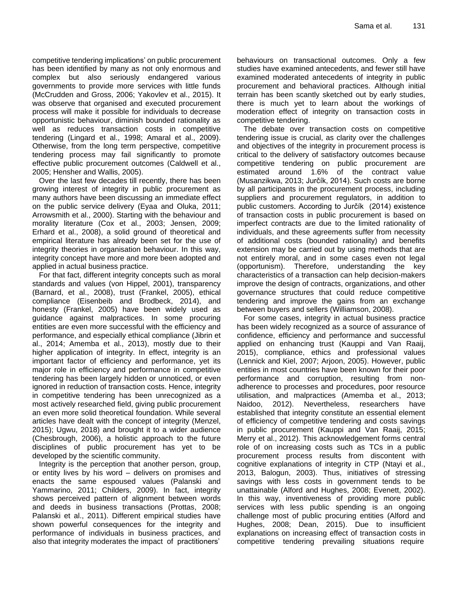competitive tendering implications' on public procurement has been identified by many as not only enormous and complex but also seriously endangered various governments to provide more services with little funds (McCrudden and Gross, 2006; Yakovlev et al., 2015). It was observe that organised and executed procurement process will make it possible for individuals to decrease opportunistic behaviour, diminish bounded rationality as well as reduces transaction costs in competitive tendering (Lingard et al., 1998; Amaral et al., 2009). Otherwise, from the long term perspective, competitive tendering process may fail significantly to promote effective public procurement outcomes (Caldwell et al., 2005; Hensher and Wallis, 2005).

Over the last few decades till recently, there has been growing interest of integrity in public procurement as many authors have been discussing an immediate effect on the public service delivery (Eyaa and Oluka, 2011; Arrowsmith et al., 2000). Starting with the behaviour and morality literature (Cox et al., 2003; Jensen, 2009; Erhard et al., 2008), a solid ground of theoretical and empirical literature has already been set for the use of integrity theories in organisation behaviour. In this way, integrity concept have more and more been adopted and applied in actual business practice.

For that fact, different integrity concepts such as moral standards and values (von Hippel, 2001), transparency (Barnard, et al., 2008), trust (Frankel, 2005), ethical compliance (Eisenbeib and Brodbeck, 2014), and honesty (Frankel, 2005) have been widely used as guidance against malpractices. In some procuring entities are even more successful with the efficiency and performance, and especially ethical compliance (Jibrin et al., 2014; Amemba et al., 2013), mostly due to their higher application of integrity. In effect, integrity is an important factor of efficiency and performance, yet its major role in efficiency and performance in competitive tendering has been largely hidden or unnoticed, or even ignored in reduction of transaction costs. Hence, integrity in competitive tendering has been unrecognized as a most actively researched field, giving public procurement an even more solid theoretical foundation. While several articles have dealt with the concept of integrity (Menzel, 2015); Ugwu, 2018) and brought it to a wider audience (Chesbrough, 2006), a holistic approach to the future disciplines of public procurement has yet to be developed by the scientific community.

Integrity is the perception that another person, group, or entity lives by his word – delivers on promises and enacts the same espoused values (Palanski and Yammarino, 2011; Childers, 2009). In fact, integrity shows perceived pattern of alignment between words and deeds in business transactions (Prottas, 2008; Palanski et al., 2011). Different empirical studies have shown powerful consequences for the integrity and performance of individuals in business practices, and also that integrity moderates the impact of practitioners'

behaviours on transactional outcomes. Only a few studies have examined antecedents, and fewer still have examined moderated antecedents of integrity in public procurement and behavioral practices. Although initial terrain has been scantly sketched out by early studies, there is much yet to learn about the workings of moderation effect of integrity on transaction costs in competitive tendering.

The debate over transaction costs on competitive tendering issue is crucial, as clarity over the challenges and objectives of the integrity in procurement process is critical to the delivery of satisfactory outcomes because competitive tendering on public procurement are estimated around 1.6% of the contract value (Musanzikwa, 2013; Jurčík, 2014). Such costs are borne by all participants in the procurement process, including suppliers and procurement regulators, in addition to public customers. According to Jurčík (2014) existence of transaction costs in public procurement is based on imperfect contracts are due to the limited rationality of individuals, and these agreements suffer from necessity of additional costs (bounded rationality) and benefits extension may be carried out by using methods that are not entirely moral, and in some cases even not legal (opportunism). Therefore, understanding the key characteristics of a transaction can help decision-makers improve the design of contracts, organizations, and other governance structures that could reduce competitive tendering and improve the gains from an exchange between buyers and sellers (Williamson, 2008).

For some cases, integrity in actual business practice has been widely recognized as a source of assurance of confidence, efficiency and performance and successful applied on enhancing trust (Kauppi and Van Raaij, 2015), compliance, ethics and professional values (Lennick and Kiel, 2007; Arjoon, 2005). However, public entities in most countries have been known for their poor performance and corruption, resulting from nonadherence to processes and procedures, poor resource utilisation, and malpractices (Amemba et al., 2013; Naidoo, 2012). Nevertheless, researchers have established that integrity constitute an essential element of efficiency of competitive tendering and costs savings in public procurement (Kauppi and Van Raaij, 2015; Merry et al., 2012). This acknowledgement forms central role of on increasing costs such as TCs in a public procurement process results from discontent with cognitive explanations of integrity in CTP (Ntayi et al., 2013, Balogun, 2003). Thus, initiatives of stressing savings with less costs in government tends to be unattainable (Alford and Hughes, 2008; Evenett, 2002). In this way, inventiveness of providing more public services with less public spending is an ongoing challenge most of public procuring entities (Alford and Hughes, 2008; Dean, 2015). Due to insufficient explanations on increasing effect of transaction costs in competitive tendering prevailing situations require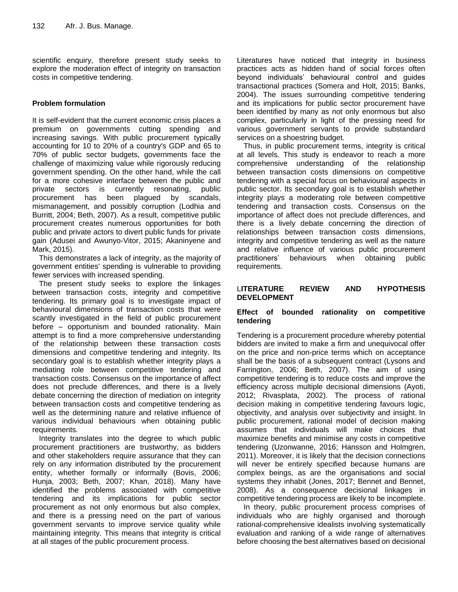scientific enquiry, therefore present study seeks to explore the moderation effect of integrity on transaction costs in competitive tendering.

# **Problem formulation**

It is self-evident that the current economic crisis places a premium on governments cutting spending and increasing savings. With public procurement typically accounting for 10 to 20% of a country's GDP and 65 to 70% of public sector budgets, governments face the challenge of maximizing value while rigorously reducing government spending. On the other hand, while the call for a more cohesive interface between the public and private sectors is currently resonating, public procurement has been plagued by scandals, mismanagement, and possibly corruption (Lodhia and Burritt, 2004; Beth, 2007). As a result, competitive public procurement creates numerous opportunities for both public and private actors to divert public funds for private gain (Adusei and Awunyo-Vitor, 2015; Akaninyene and Mark, 2015).

This demonstrates a lack of integrity, as the majority of government entities' spending is vulnerable to providing fewer services with increased spending.

The present study seeks to explore the linkages between transaction costs, integrity and competitive tendering. Its primary goal is to investigate impact of behavioural dimensions of transaction costs that were scantly investigated in the field of public procurement before – opportunism and bounded rationality. Main attempt is to find a more comprehensive understanding of the relationship between these transaction costs dimensions and competitive tendering and integrity. Its secondary goal is to establish whether integrity plays a mediating role between competitive tendering and transaction costs. Consensus on the importance of affect does not preclude differences, and there is a lively debate concerning the direction of mediation on integrity between transaction costs and competitive tendering as well as the determining nature and relative influence of various individual behaviours when obtaining public requirements.

Integrity translates into the degree to which public procurement practitioners are trustworthy, as bidders and other stakeholders require assurance that they can rely on any information distributed by the procurement entity, whether formally or informally (Bovis, 2006; Hunja, 2003; Beth, 2007; Khan, 2018). Many have identified the problems associated with competitive tendering and its implications for public sector procurement as not only enormous but also complex, and there is a pressing need on the part of various government servants to improve service quality while maintaining integrity. This means that integrity is critical at all stages of the public procurement process.

Literatures have noticed that integrity in business practices acts as hidden hand of social forces often beyond individuals' behavioural control and guides transactional practices (Somera and Holt, 2015; Banks, 2004). The issues surrounding competitive tendering and its implications for public sector procurement have been identified by many as not only enormous but also complex, particularly in light of the pressing need for various government servants to provide substandard services on a shoestring budget.

Thus, in public procurement terms, integrity is critical at all levels. This study is endeavor to reach a more comprehensive understanding of the relationship between transaction costs dimensions on competitive tendering with a special focus on behavioural aspects in public sector. Its secondary goal is to establish whether integrity plays a moderating role between competitive tendering and transaction costs. Consensus on the importance of affect does not preclude differences, and there is a lively debate concerning the direction of relationships between transaction costs dimensions, integrity and competitive tendering as well as the nature and relative influence of various public procurement practitioners' behaviours when obtaining public requirements.

## L**ITERATURE REVIEW AND HYPOTHESIS DEVELOPMENT**

## **Effect of bounded rationality on competitive tendering**

Tendering is a procurement procedure whereby potential bidders are invited to make a firm and unequivocal offer on the price and non-price terms which on acceptance shall be the basis of a subsequent contract (Lysons and Farrington, 2006; Beth, 2007). The aim of using competitive tendering is to reduce costs and improve the efficiency across multiple decisional dimensions (Ayoti, 2012; Rivasplata, 2002). The process of rational decision making in competitive tendering favours logic, objectivity, and analysis over subjectivity and insight. In public procurement, rational model of decision making assumes that individuals will make choices that maximize benefits and minimise any costs in competitive tendering (Uzonwanne, 2016; Hansson and Holmgren, 2011). Moreover, it is likely that the decision connections will never be entirely specified because humans are complex beings, as are the organisations and social systems they inhabit (Jones, 2017; Bennet and Bennet, 2008). As a consequence decisional linkages in competitive tendering process are likely to be incomplete.

In theory, public procurement process comprises of individuals who are highly organised and thorough rational-comprehensive idealists involving systematically evaluation and ranking of a wide range of alternatives before choosing the best alternatives based on decisional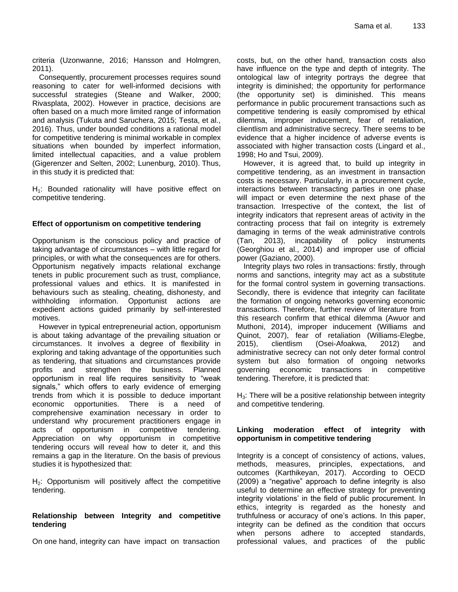criteria (Uzonwanne, 2016; Hansson and Holmgren, 2011).

Consequently, procurement processes requires sound reasoning to cater for well-informed decisions with successful strategies (Steane and Walker, 2000; Rivasplata, 2002). However in practice, decisions are often based on a much more limited range of information and analysis (Tukuta and Saruchera, 2015; Testa, et al., 2016). Thus, under bounded conditions a rational model for competitive tendering is minimal workable in complex situations when bounded by imperfect information, limited intellectual capacities, and a value problem (Gigerenzer and Selten, 2002; Lunenburg, 2010). Thus, in this study it is predicted that:

 $H<sub>1</sub>$ : Bounded rationality will have positive effect on competitive tendering.

## **Effect of opportunism on competitive tendering**

Opportunism is the conscious policy and practice of taking advantage of circumstances – with little regard for principles, or with what the consequences are for others. Opportunism negatively impacts relational exchange tenets in public procurement such as trust, compliance, professional values and ethics. It is manifested in behaviours such as stealing, cheating, dishonesty, and withholding information. Opportunist actions are expedient actions guided primarily by self-interested motives.

However in typical entrepreneurial action, opportunism is about taking advantage of the prevailing situation or circumstances. It involves a degree of flexibility in exploring and taking advantage of the opportunities such as tendering, that situations and circumstances provide profits and strengthen the business. Planned opportunism in real life requires sensitivity to "weak signals," which offers to early evidence of emerging trends from which it is possible to deduce important economic opportunities. There is a need of comprehensive examination necessary in order to understand why procurement practitioners engage in acts of opportunism in competitive tendering. Appreciation on why opportunism in competitive tendering occurs will reveal how to deter it, and this remains a gap in the literature. On the basis of previous studies it is hypothesized that:

 $H<sub>2</sub>$ : Opportunism will positively affect the competitive tendering.

## **Relationship between Integrity and competitive tendering**

On one hand, integrity can have impact on transaction

costs, but, on the other hand, transaction costs also have influence on the type and depth of integrity. The ontological law of integrity portrays the degree that integrity is diminished; the opportunity for performance (the opportunity set) is diminished. This means performance in public procurement transactions such as competitive tendering is easily compromised by ethical dilemma, improper inducement, fear of retaliation, clientlism and administrative secrecy. There seems to be evidence that a higher incidence of adverse events is associated with higher transaction costs (Lingard et al., 1998; Ho and Tsui, 2009).

However, it is agreed that, to build up integrity in competitive tendering, as an investment in transaction costs is necessary. Particularly, in a procurement cycle, interactions between transacting parties in one phase will impact or even determine the next phase of the transaction. Irrespective of the context, the list of integrity indicators that represent areas of activity in the contracting process that fail on integrity is extremely damaging in terms of the weak administrative controls (Tan, 2013), incapability of policy instruments (Georghiou et al., 2014) and improper use of official power (Gaziano, 2000).

Integrity plays two roles in transactions: firstly, through norms and sanctions, integrity may act as a substitute for the formal control system in governing transactions. Secondly, there is evidence that integrity can facilitate the formation of ongoing networks governing economic transactions. Therefore, further review of literature from this research confirm that ethical dilemma (Awuor and Muthoni, 2014), improper inducement (Williams and Quinot, 2007), fear of retaliation (Williams-Elegbe, 2015), clientlism (Osei-Afoakwa, 2012) and administrative secrecy can not only deter formal control system but also formation of ongoing networks governing economic transactions in competitive tendering. Therefore, it is predicted that:

 $H<sub>3</sub>$ : There will be a positive relationship between integrity and competitive tendering.

## **Linking moderation effect of integrity with opportunism in competitive tendering**

Integrity is a concept of consistency of actions, values, methods, measures, principles, expectations, and outcomes (Karthikeyan, 2017). According to OECD (2009) a "negative" approach to define integrity is also useful to determine an effective strategy for preventing integrity violations' in the field of public procurement. In ethics, integrity is regarded as the honesty and truthfulness or accuracy of one's actions. In this paper, integrity can be defined as the condition that occurs when persons adhere to accepted standards, professional values, and practices of the public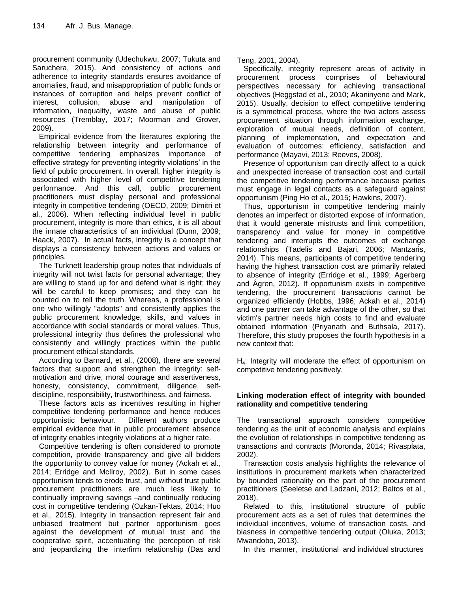procurement community (Udechukwu, 2007; Tukuta and Saruchera, 2015). And consistency of actions and adherence to integrity standards ensures avoidance of anomalies, fraud, and misappropriation of public funds or instances of corruption and helps prevent conflict of interest, collusion, abuse and manipulation of information, inequality, waste and abuse of public resources (Tremblay, 2017; Moorman and Grover, 2009).

Empirical evidence from the literatures exploring the relationship between integrity and performance of competitive tendering emphasizes importance of effective strategy for preventing integrity violations' in the field of public procurement. In overall, higher integrity is associated with higher level of competitive tendering performance. And this call, public procurement practitioners must display personal and professional integrity in competitive tendering (OECD, 2009; Dimitri et al., 2006). When reflecting individual level in public procurement, integrity is more than ethics, it is all about the innate characteristics of an individual (Dunn, 2009; Haack, 2007). In actual facts, integrity is a concept that displays a consistency between actions and values or principles.

The Turknett leadership group notes that individuals of integrity will not twist facts for personal advantage; they are willing to stand up for and defend what is right; they will be careful to keep promises; and they can be counted on to tell the truth. Whereas, a professional is one who willingly "adopts" and consistently applies the public procurement knowledge, skills, and values in accordance with social standards or moral values. Thus, professional integrity thus defines the professional who consistently and willingly practices within the public procurement ethical standards.

According to Barnard, et al., (2008), there are several factors that support and strengthen the integrity: selfmotivation and drive, moral courage and assertiveness, honesty, consistency, commitment, diligence, selfdiscipline, responsibility, trustworthiness, and fairness.

These factors acts as incentives resulting in higher competitive tendering performance and hence reduces opportunistic behaviour. Different authors produce empirical evidence that in public procurement absence of integrity enables integrity violations at a higher rate.

Competitive tendering is often considered to promote competition, provide transparency and give all bidders the opportunity to convey value for money (Ackah et al., 2014; Erridge and McIlroy, 2002). But in some cases opportunism tends to erode trust, and without trust public procurement practitioners are much less likely to continually improving savings –and continually reducing cost in competitive tendering (Ozkan-Tektas, 2014; Huo et al., 2015). Integrity in transaction represent fair and unbiased treatment but partner opportunism goes against the development of mutual trust and the cooperative spirit, accentuating the perception of risk and jeopardizing the interfirm relationship (Das and

Teng, 2001, 2004).

Specifically, integrity represent areas of activity in procurement process comprises of behavioural perspectives necessary for achieving transactional objectives (Heggstad et al., 2010; Akaninyene and Mark, 2015). Usually, decision to effect competitive tendering is a symmetrical process, where the two actors assess procurement situation through information exchange, exploration of mutual needs, definition of content, planning of implementation, and expectation and evaluation of outcomes: efficiency, satisfaction and performance (Mayavi, 2013; Reeves, 2008).

Presence of opportunism can directly affect to a quick and unexpected increase of transaction cost and curtail the competitive tendering performance because parties must engage in legal contacts as a safeguard against opportunism (Ping Ho et al., 2015; Hawkins, 2007).

Thus, opportunism in competitive tendering mainly denotes an imperfect or distorted expose of information, that it would generate mistrusts and limit competition, transparency and value for money in competitive tendering and interrupts the outcomes of exchange relationships (Tadelis and Bajari, 2006; Mantzaris, 2014). This means, participants of competitive tendering having the highest transaction cost are primarily related to absence of integrity (Erridge et al., 1999; Agerberg and Ågren, 2012). If opportunism exists in competitive tendering, the procurement transactions cannot be organized efficiently (Hobbs, 1996; Ackah et al., 2014) and one partner can take advantage of the other, so that victim's partner needs high costs to find and evaluate obtained information (Priyanath and Buthsala, 2017). Therefore, this study proposes the fourth hypothesis in a new context that:

H<sub>4</sub>: Integrity will moderate the effect of opportunism on competitive tendering positively.

# **Linking moderation effect of integrity with bounded rationality and competitive tendering**

The transactional approach considers competitive tendering as the unit of economic analysis and explains the evolution of relationships in competitive tendering as transactions and contracts (Moronda, 2014; Rivasplata, 2002).

Transaction costs analysis highlights the relevance of institutions in procurement markets when characterized by bounded rationality on the part of the procurement practitioners (Seeletse and Ladzani, 2012; Baltos et al., 2018).

Related to this, institutional structure of public procurement acts as a set of rules that determines the individual incentives, volume of transaction costs, and biasness in competitive tendering output (Oluka, 2013; Mwandobo, 2013).

In this manner, institutional and individual structures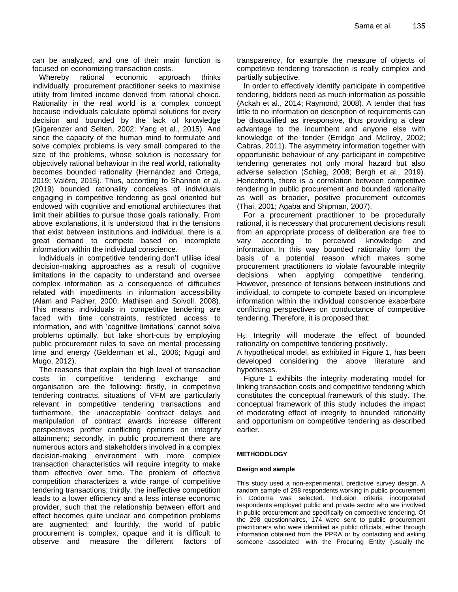can be analyzed, and one of their main function is focused on economizing transaction costs.

Whereby rational economic approach thinks individually, procurement practitioner seeks to maximise utility from limited income derived from rational choice. Rationality in the real world is a complex concept because individuals calculate optimal solutions for every decision and bounded by the lack of knowledge (Gigerenzer and Selten, 2002; Yang et al., 2015). And since the capacity of the human mind to formulate and solve complex problems is very small compared to the size of the problems, whose solution is necessary for objectively rational behaviour in the real world, rationality becomes bounded rationality (Hernández and Ortega, 2019; Valéro, 2015). Thus, according to Shannon et al. (2019) bounded rationality conceives of individuals engaging in competitive tendering as goal oriented but endowed with cognitive and emotional architectures that limit their abilities to pursue those goals rationally. From above explanations, it is understood that in the tensions that exist between institutions and individual, there is a great demand to compete based on incomplete information within the individual conscience.

Individuals in competitive tendering don't utilise ideal decision-making approaches as a result of cognitive limitations in the capacity to understand and oversee complex information as a consequence of difficulties related with impediments in information accessibility (Alam and Pacher, 2000; Mathisen and Solvoll, 2008). This means individuals in competitive tendering are faced with time constraints, restricted access to information, and with 'cognitive limitations' cannot solve problems optimally, but take short-cuts by employing public procurement rules to save on mental processing time and energy (Gelderman et al., 2006; Ngugi and Mugo, 2012).

The reasons that explain the high level of transaction costs in competitive tendering exchange and organisation are the following: firstly, in competitive tendering contracts, situations of VFM are particularly relevant in competitive tendering transactions and furthermore, the unacceptable contract delays and manipulation of contract awards increase different perspectives proffer conflicting opinions on integrity attainment; secondly, in public procurement there are numerous actors and stakeholders involved in a complex decision-making environment with more complex transaction characteristics will require integrity to make them effective over time. The problem of effective competition characterizes a wide range of competitive tendering transactions; thirdly, the ineffective competition leads to a lower efficiency and a less intense economic provider, such that the relationship between effort and effect becomes quite unclear and competition problems are augmented; and fourthly, the world of public procurement is complex, opaque and it is difficult to observe and measure the different factors of transparency, for example the measure of objects of competitive tendering transaction is really complex and partially subjective.

In order to effectively identify participate in competitive tendering, bidders need as much information as possible (Ackah et al., 2014; Raymond, 2008). A tender that has little to no information on description of requirements can be disqualified as irresponsive, thus providing a clear advantage to the incumbent and anyone else with knowledge of the tender (Erridge and McIlroy, 2002; Cabras, 2011). The asymmetry information together with opportunistic behaviour of any participant in competitive tendering generates not only moral hazard but also adverse selection (Schieg, 2008; Bergh et al., 2019). Henceforth, there is a correlation between competitive tendering in public procurement and bounded rationality as well as broader, positive procurement outcomes (Thai, 2001; Agaba and Shipman, 2007).

For a procurement practitioner to be procedurally rational, it is necessary that procurement decisions result from an appropriate process of deliberation are free to vary according to perceived knowledge and information. In this way bounded rationality form the basis of a potential reason which makes some procurement practitioners to violate favourable integrity decisions when applying competitive tendering. However, presence of tensions between institutions and individual, to compete to compete based on incomplete information within the individual conscience exacerbate conflicting perspectives on conductance of competitive tendering. Therefore, it is proposed that:

 $H<sub>5</sub>$ : Integrity will moderate the effect of bounded rationality on competitive tendering positively.

A hypothetical model, as exhibited in Figure 1, has been developed considering the above literature and hypotheses.

Figure 1 exhibits the integrity moderating model for linking transaction costs and competitive tendering which constitutes the conceptual framework of this study. The conceptual framework of this study includes the impact of moderating effect of integrity to bounded rationality and opportunism on competitive tendering as described earlier.

## **METHODOLOGY**

## **Design and sample**

This study used a non-experimental, predictive survey design. A random sample of 298 respondents working in public procurement in Dodoma was selected. Inclusion criteria incorporated respondents employed public and private sector who are involved in public procurement and specifically on competitive tendering. Of the 298 questionnaires, 174 were sent to public procurement practitioners who were identified as public officials, either through information obtained from the PPRA or by contacting and asking someone associated with the Procuring Entity (usually the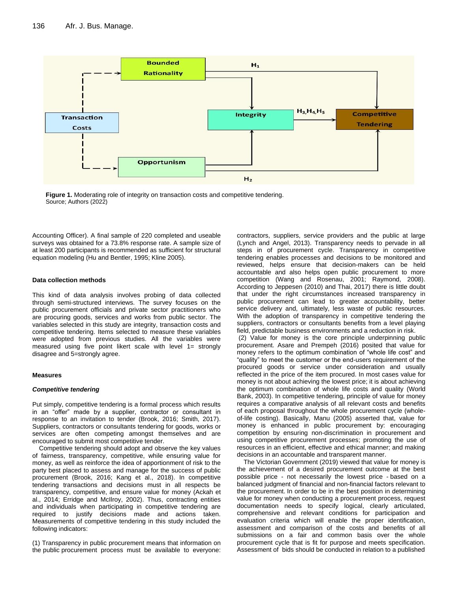

**Figure 1.** Moderating role of integrity on transaction costs and competitive tendering. Source; Authors (2022)

Accounting Officer). A final sample of 220 completed and useable surveys was obtained for a 73.8% response rate. A sample size of at least 200 participants is recommended as sufficient for structural equation modeling (Hu and Bentler, 1995; Kline 2005).

#### **Data collection methods**

This kind of data analysis involves probing of data collected through semi-structured interviews. The survey focuses on the public procurement officials and private sector practitioners who are procuring goods, services and works from public sector. The variables selected in this study are integrity, transaction costs and competitive tendering. Items selected to measure these variables were adopted from previous studies. All the variables were measured using five point likert scale with level  $1=$  strongly disagree and 5=strongly agree.

#### **Measures**

#### *Competitive tendering*

Put simply, competitive tendering is a formal process which results in an "offer" made by a supplier, contractor or consultant in response to an invitation to tender (Brook, 2016; Smith, 2017). Suppliers, contractors or consultants tendering for goods, works or services are often competing amongst themselves and are encouraged to submit most competitive tender.

Competitive tendering should adopt and observe the key values of fairness, transparency, competitive, while ensuring value for money, as well as reinforce the idea of apportionment of risk to the party best placed to assess and manage for the success of public procurement (Brook, 2016; Kang et al., 2018). In competitive tendering transactions and decisions must in all respects be transparency, competitive, and ensure value for money (Ackah et al., 2014; Erridge and McIlroy, 2002). Thus, contracting entities and individuals when participating in competitive tendering are required to justify decisions made and actions taken. Measurements of competitive tendering in this study included the following indicators:

(1) Transparency in public procurement means that information on the public procurement process must be available to everyone:

contractors, suppliers, service providers and the public at large (Lynch and Angel, 2013). Transparency needs to pervade in all steps in of procurement cycle. Transparency in competitive tendering enables processes and decisions to be monitored and reviewed, helps ensure that decision-makers can be held accountable and also helps open public procurement to more competition (Wang and Rosenau, 2001; Raymond, 2008). According to Jeppesen (2010) and Thai, 2017) there is little doubt that under the right circumstances increased transparency in public procurement can lead to greater accountability, better service delivery and, ultimately, less waste of public resources. With the adoption of transparency in competitive tendering the suppliers, contractors or consultants benefits from a level playing field, predictable business environments and a reduction in risk.

(2) Value for money is the core principle underpinning public procurement. Asare and Prempeh (2016) posited that value for money refers to the optimum combination of "whole life cost" and "quality" to meet the customer or the end-users requirement of the procured goods or service under consideration and usually reflected in the price of the item procured. In most cases value for money is not about achieving the lowest price; it is about achieving the optimum combination of whole life costs and quality (World Bank, 2003). In competitive tendering, principle of value for money requires a comparative analysis of all relevant costs and benefits of each proposal throughout the whole procurement cycle (wholeof-life costing). Basically, Manu (2005) asserted that, value for money is enhanced in public procurement by: encouraging competition by ensuring non-discrimination in procurement and using competitive procurement processes; promoting the use of resources in an efficient, effective and ethical manner; and making decisions in an accountable and transparent manner.

The Victorian Government (2019) viewed that value for money is the achievement of a desired procurement outcome at the best possible price - not necessarily the lowest price - based on a balanced judgment of financial and non-financial factors relevant to the procurement. In order to be in the best position in determining value for money when conducting a procurement process, request documentation needs to specify logical, clearly articulated, comprehensive and relevant conditions for participation and evaluation criteria which will enable the proper identification, assessment and comparison of the costs and benefits of all submissions on a fair and common basis over the whole procurement cycle that is fit for purpose and meets specification. Assessment of bids should be conducted in relation to a published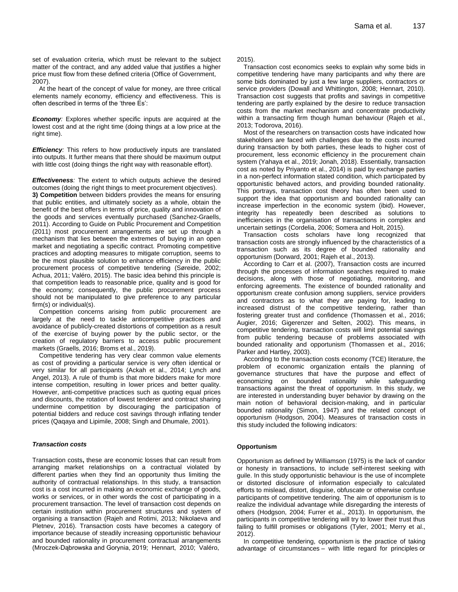set of evaluation criteria, which must be relevant to the subject matter of the contract, and any added value that justifies a higher price must flow from these defined criteria (Office of Government, 2007).

At the heart of the concept of value for money, are three critical elements namely economy, efficiency and effectiveness. This is often described in terms of the 'three Es':

*Economy:* Explores whether specific inputs are acquired at the lowest cost and at the right time (doing things at a low price at the right time).

*Efficiency:* This refers to how productively inputs are translated into outputs. It further means that there should be maximum output with little cost (doing things the right way with reasonable effort).

*Effectiveness:* The extent to which outputs achieve the desired outcomes (doing the right things to meet procurement objectives).

**3) Competition** between bidders provides the means for ensuring that public entities, and ultimately society as a whole, obtain the benefit of the best offers in terms of price, quality and innovation of the goods and services eventually purchased (Sanchez-Graells, 2011). According to Guide on Public Procurement and Competition (2011) most procurement arrangements are set up through a mechanism that lies between the extremes of buying in an open market and negotiating a specific contract. Promoting competitive practices and adopting measures to mitigate corruption, seems to be the most plausible solution to enhance efficiency in the public procurement process of competitive tendering (Søreide, 2002; Achua, 2011; Valéro, 2015). The basic idea behind this principle is that competition leads to reasonable price, quality and is good for the economy; consequently, the public procurement process should not be manipulated to give preference to any particular firm(s) or individual(s).

Competition concerns arising from public procurement are largely at the need to tackle anticompetitive practices and avoidance of publicly-created distortions of competition as a result of the exercise of buying power by the public sector, or the creation of regulatory barriers to access public procurement markets (Graells, 2016; Broms et al., 2019).

Competitive tendering has very clear common value elements as cost of providing a particular service is very often identical or very similar for all participants (Ackah et al., 2014; Lynch and Angel, 2013). A rule of thumb is that more bidders make for more intense competition, resulting in lower prices and better quality. However, anti-competitive practices such as quoting equal prices and discounts, the rotation of lowest tenderer and contract sharing undermine competition by discouraging the participation of potential bidders and reduce cost savings through inflating tender prices (Qaqaya and Lipimile, 2008; Singh and Dhumale, 2001).

#### *Transaction costs*

Transaction costs**,** these are economic losses that can result from arranging market relationships on a contractual violated by different parties when they find an opportunity thus limiting the authority of contractual relationships. In this study, a transaction cost is a cost incurred in making an economic exchange of goods, works or services, or in other words the cost of participating in a procurement transaction. The level of transaction cost depends on certain institution within procurement structures and system of organising a transaction (Rajeh and Rotimi, 2013; Nikolaeva and Pletnev, 2016). Transaction costs have becomes a category of importance because of steadily increasing opportunistic behaviour and bounded rationality in procurement contractual arrangements (Mroczek-Dąbrowska and Gorynia, 2019; Hennart, 2010; Valéro,

2015).

Transaction cost economics seeks to explain why some bids in competitive tendering have many participants and why there are some bids dominated by just a few large suppliers, contractors or service providers (Dowall and Whittington, 2008; Hennart, 2010). Transaction cost suggests that profits and savings in competitive tendering are partly explained by the desire to reduce transaction costs from the market mechanism and concentrate productivity within a transacting firm though human behaviour (Rajeh et al., 2013; Todorova, 2016).

Most of the researchers on transaction costs have indicated how stakeholders are faced with challenges due to the costs incurred during transaction by both parties, these leads to higher cost of procurement, less economic efficiency in the procurement chain system (Yahaya et al., 2019; Jonah, 2018). Essentially, transaction cost as noted by Priyanto et al., 2014) is paid by exchange parties in a non-perfect information stated condition, which participated by opportunistic behaved actors, and providing bounded rationality. This portrays, transaction cost theory has often been used to support the idea that opportunism and bounded rationality can increase imperfection in the economic system (ibid). However, integrity has repeatedly been described as solutions to inefficiencies in the organisation of transactions in complex and uncertain settings (Cordelia, 2006; Somera and Holt, 2015).

Transaction costs scholars have long recognized that transaction costs are strongly influenced by the characteristics of a transaction such as its degree of bounded rationality and opportunism (Dorward, 2001; Rajeh et al., 2013).

According to Carr et al. (2007), Transaction costs are incurred through the processes of information searches required to make decisions, along with those of negotiating, monitoring, and enforcing agreements. The existence of bounded rationality and opportunism create confusion among suppliers, service providers and contractors as to what they are paying for, leading to increased distrust of the competitive tendering, rather than fostering greater trust and confidence (Thomassen et al., 2016; Augier, 2016; Gigerenzer and Selten, 2002). This means, in competitive tendering, transaction costs will limit potential savings from public tendering because of problems associated with bounded rationality and opportunism (Thomassen et al., 2016; Parker and Hartley, 2003).

According to the transaction costs economy (TCE) literature, the problem of economic organization entails the planning of governance structures that have the purpose and effect of economizing on bounded rationality while safeguarding transactions against the threat of opportunism. In this study, we are interested in understanding buyer behavior by drawing on the main notion of behavioral decision-making, and in particular bounded rationality (Simon, 1947) and the related concept of opportunism (Hodgson, 2004). Measures of transaction costs in this study included the following indicators:

#### **Opportunism**

Opportunism as defined by Williamson (1975) is the lack of candor or honesty in transactions, to include self-interest seeking with guile. In this study opportunistic behaviour is the use of incomplete or distorted disclosure of information especially to calculated efforts to mislead, distort, disguise, obfuscate or otherwise confuse participants of competitive tendering. The aim of opportunism is to realize the individual advantage while disregarding the interests of others (Hodgson, 2004; Furrer et al., 2013). In opportunism, the participants in competitive tendering will try to lower their trust thus failing to fulfill promises or obligations (Tyler, 2001; Merry et al., 2012).

In competitive tendering, opportunism is the practice of taking advantage of circumstances – with little regard for principles or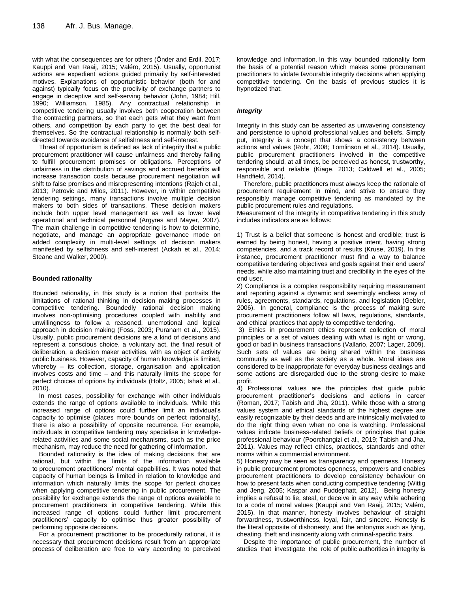with what the consequences are for others (Onder and Erdil, 2017; Kauppi and Van Raaij, 2015; Valéro, 2015). Usually, opportunist actions are expedient actions guided primarily by self-interested motives. Explanations of opportunistic behavior (both for and against) typically focus on the proclivity of exchange partners to engage in deceptive and self-serving behavior (John, 1984; Hill, 1990; Williamson, 1985). Any contractual relationship in competitive tendering usually involves both cooperation between the contracting partners, so that each gets what they want from others, and competition by each party to get the best deal for themselves. So the contractual relationship is normally both selfdirected towards avoidance of selfishness and self-interest.

Threat of opportunism is defined as lack of integrity that a public procurement practitioner will cause unfairness and thereby failing to fulfill procurement promises or obligations. Perceptions of unfairness in the distribution of savings and accrued benefits will increase transaction costs because procurement negotiation will shift to false promises and misrepresenting intentions (Rajeh et al., 2013; Petrovic and Milos, 2011). However, in within competitive tendering settings, many transactions involve multiple decision makers to both sides of transactions. These decision makers include both upper level management as well as lower level operational and technical personnel (Argyres and Mayer, 2007). The main challenge in competitive tendering is how to determine, negotiate, and manage an appropriate governance mode on added complexity in multi-level settings of decision makers manifested by selfishness and self-interest (Ackah et al., 2014; Steane and Walker, 2000).

#### **Bounded rationality**

Bounded rationality, in this study is a notion that portraits the limitations of rational thinking in decision making processes in competitive tendering. Boundedly rational decision making involves non-optimising procedures coupled with inability and unwillingness to follow a reasoned, unemotional and logical approach in decision making (Foss, 2003; Puranam et al., 2015). Usually, public procurement decisions are a kind of decisions and represent a conscious choice, a voluntary act, the final result of deliberation, a decision maker activities, with as object of activity public business. However, capacity of human knowledge is limited, whereby – its collection, storage, organisation and application involves costs and time – and this naturally limits the scope for perfect choices of options by individuals (Holtz, 2005; Ishak et al., 2010).

In most cases, possibility for exchange with other individuals extends the range of options available to individuals. While this increased range of options could further limit an individual's capacity to optimise (places more bounds on perfect rationality), there is also a possibility of opposite recurrence. For example, individuals in competitive tendering may specialise in knowledgerelated activities and some social mechanisms, such as the price mechanism, may reduce the need for gathering of information.

Bounded rationality is the idea of making decisions that are rational, but within the limits of the information available to procurement practitioners' mental capabilities. It was noted that capacity of human beings is limited in relation to knowledge and information which naturally limits the scope for perfect choices when applying competitive tendering in public procurement. The possibility for exchange extends the range of options available to procurement practitioners in competitive tendering. While this increased range of options could further limit procurement practitioners' capacity to optimise thus greater possibility of performing opposite decisions.

For a procurement practitioner to be procedurally rational, it is necessary that procurement decisions result from an appropriate process of deliberation are free to vary according to perceived

knowledge and information. In this way bounded rationality form the basis of a potential reason which makes some procurement practitioners to violate favourable integrity decisions when applying competitive tendering. On the basis of previous studies it is hypnotized that:

#### *Integrity*

Integrity in this study can be asserted as unwavering consistency and persistence to uphold professional values and beliefs. Simply put, integrity is a concept that shows a consistency between actions and values (Rohr, 2008; Tomlinson et al., 2014). Usually, public procurement practitioners involved in the competitive tendering should, at all times, be perceived as honest, trustworthy, responsible and reliable (Kiage, 2013; Caldwell et al., 2005; Handfield, 2014).

Therefore, public practitioners must always keep the rationale of procurement requirement in mind, and strive to ensure they responsibly manage competitive tendering as mandated by the public procurement rules and regulations.

Measurement of the integrity in competitive tendering in this study includes indicators are as follows:

1) Trust is a belief that someone is honest and credible; trust is earned by being honest, having a positive intent, having strong competencies, and a track record of results (Kruse, 2019). In this instance, procurement practitioner must find a way to balance competitive tendering objectives and goals against their end users' needs, while also maintaining trust and credibility in the eyes of the end user.

2) Compliance is a complex responsibility requiring measurement and reporting against a dynamic and seemingly endless array of rules, agreements, standards, regulations, and legislation (Gebler, 2006). In general, compliance is the process of making sure procurement practitioners follow all laws, regulations, standards, and ethical practices that apply to competitive tendering.

3) Ethics in procurement ethics represent collection of moral principles or a set of values dealing with what is right or wrong, good or bad in business transactions (Vallario, 2007; Lager, 2009). Such sets of values are being shared within the business community as well as the society as a whole. Moral ideas are considered to be inappropriate for everyday business dealings and some actions are disregarded due to the strong desire to make profit.

4) Professional values are the principles that guide public procurement practitioner's decisions and actions in career (Roman, 2017; Tabish and Jha, 2011). While those with a strong values system and ethical standards of the highest degree are easily recognizable by their deeds and are intrinsically motivated to do the right thing even when no one is watching. Professional values indicate business-related beliefs or principles that guide professional behaviour (Poorchangizi et al., 2019; Tabish and Jha, 2011). Values may reflect ethics, practices, standards and other norms within a commercial environment.

5) Honesty may be seen as transparency and openness. Honesty in public procurement promotes openness, empowers and enables procurement practitioners to develop consistency behaviour on how to present facts when conducting competitive tendering (Wittig and Jeng, 2005; Kaspar and Puddephatt, 2012). Being honesty implies a refusal to lie, steal, or deceive in any way while adhering to a code of moral values (Kauppi and Van Raaij, 2015; Valéro, 2015). In that manner, honesty involves behaviour of straight forwardness, trustworthiness, loyal, fair, and sincere. Honesty is the literal opposite of dishonesty, and the antonyms such as lying, cheating, theft and insincerity along with criminal-specific traits.

Despite the importance of public procurement, the number of studies that investigate the role of public authorities in integrity is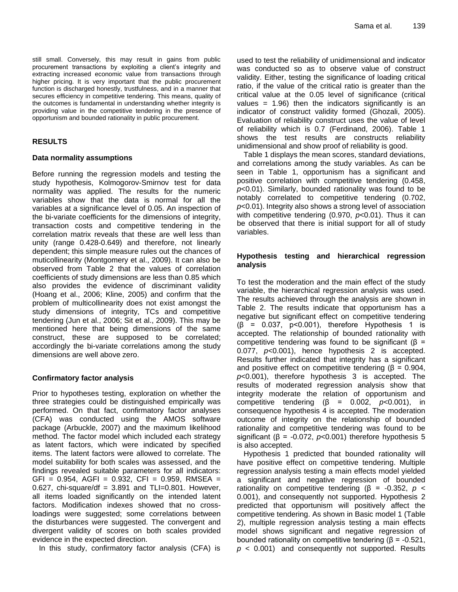still small. Conversely, this may result in gains from public procurement transactions by exploiting a client's integrity and extracting increased economic value from transactions through higher pricing. It is very important that the public procurement function is discharged honestly, trustfulness, and in a manner that secures efficiency in competitive tendering. This means, quality of the outcomes is fundamental in understanding whether integrity is providing value in the competitive tendering in the presence of opportunism and bounded rationality in public procurement.

## **RESULTS**

## **Data normality assumptions**

Before running the regression models and testing the study hypothesis, Kolmogorov-Smirnov test for data normality was applied. The results for the numeric variables show that the data is normal for all the variables at a significance level of 0.05. An inspection of the bi-variate coefficients for the dimensions of integrity, transaction costs and competitive tendering in the correlation matrix reveals that these are well less than unity (range 0.428-0.649) and therefore, not linearly dependent; this simple measure rules out the chances of muticollinearity (Montgomery et al., 2009). It can also be observed from Table 2 that the values of correlation coefficients of study dimensions are less than 0.85 which also provides the evidence of discriminant validity (Hoang et al., 2006; Kline, 2005) and confirm that the problem of multicollinearity does not exist amongst the study dimensions of integrity, TCs and competitive tendering (Jun et al., 2006; Sit et al., 2009). This may be mentioned here that being dimensions of the same construct, these are supposed to be correlated; accordingly the bi-variate correlations among the study dimensions are well above zero.

## **Confirmatory factor analysis**

Prior to hypotheses testing, exploration on whether the three strategies could be distinguished empirically was performed. On that fact, confirmatory factor analyses (CFA) was conducted using the AMOS software package (Arbuckle, 2007) and the maximum likelihood method. The factor model which included each strategy as latent factors, which were indicated by specified items. The latent factors were allowed to correlate. The model suitability for both scales was assessed, and the findings revealed suitable parameters for all indicators:  $GFI = 0.954$ ,  $AGFI = 0.932$ ,  $CFI = 0.959$ , RMSEA = 0.627, chi-square/df =  $3.891$  and TLI=0.801. However, all items loaded significantly on the intended latent factors. Modification indexes showed that no crossloadings were suggested; some correlations between the disturbances were suggested. The convergent and divergent validity of scores on both scales provided evidence in the expected direction.

In this study, confirmatory factor analysis (CFA) is

used to test the reliability of unidimensional and indicator was conducted so as to observe value of construct validity. Either, testing the significance of loading critical ratio, if the value of the critical ratio is greater than the critical value at the 0.05 level of significance (critical values =  $1.96$ ) then the indicators significantly is an indicator of construct validity formed (Ghozali, 2005). Evaluation of reliability construct uses the value of level of reliability which is 0.7 (Ferdinand, 2006). Table 1 shows the test results are constructs reliability unidimensional and show proof of reliability is good.

Table 1 displays the mean scores, standard deviations, and correlations among the study variables. As can be seen in Table 1, opportunism has a significant and positive correlation with competitive tendering (0.458, *p*<0.01). Similarly, bounded rationality was found to be notably correlated to competitive tendering (0.702, *p*<0.01). Integrity also shows a strong level of association with competitive tendering (0.970, *p*<0.01). Thus it can be observed that there is initial support for all of study variables.

## **Hypothesis testing and hierarchical regression analysis**

To test the moderation and the main effect of the study variable, the hierarchical regression analysis was used. The results achieved through the analysis are shown in Table 2. The results indicate that opportunism has a negative but significant effect on competitive tendering  $(\beta = 0.037, p<0.001)$ , therefore Hypothesis 1 is accepted. The relationship of bounded rationality with competitive tendering was found to be significant (β = 0.077, *p*<0.001), hence hypothesis 2 is accepted. Results further indicated that integrity has a significant and positive effect on competitive tendering ( $\beta$  = 0.904, *p*<0.001), therefore hypothesis 3 is accepted. The results of moderated regression analysis show that integrity moderate the relation of opportunism and competitive tendering (β = 0.002, *p*<0.001), in consequence hypothesis 4 is accepted. The moderation outcome of integrity on the relationship of bounded rationality and competitive tendering was found to be significant ( $\beta$  = -0.072,  $p<0.001$ ) therefore hypothesis 5 is also accepted.

Hypothesis 1 predicted that bounded rationality will have positive effect on competitive tendering. Multiple regression analysis testing a main effects model yielded a significant and negative regression of bounded rationality on competitive tendering ( $β = -0.352$ ,  $p <$ 0.001), and consequently not supported. Hypothesis 2 predicted that opportunism will positively affect the competitive tendering. As shown in Basic model 1 (Table 2), multiple regression analysis testing a main effects model shows significant and negative regression of bounded rationality on competitive tendering (β = -0.521, *p* < 0.001) and consequently not supported. Results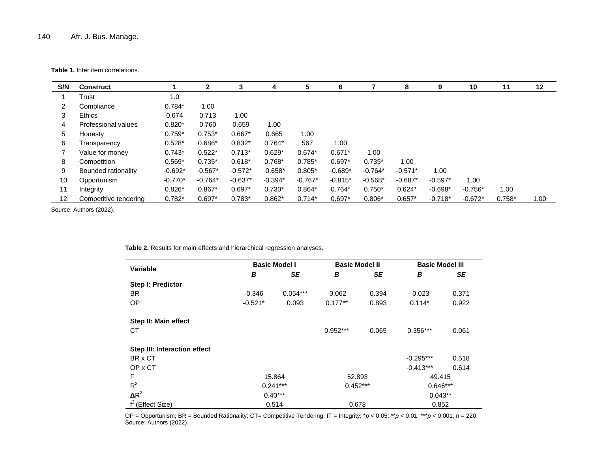**Table 1.** Inter item correlations.

| S/N                  | <b>Construct</b>      |           | 2         | 3         | 4         | 5         | 6         |           | 8         | 9         | 10        | 11       | $12 \,$ |
|----------------------|-----------------------|-----------|-----------|-----------|-----------|-----------|-----------|-----------|-----------|-----------|-----------|----------|---------|
|                      | Trust                 | 1.0       |           |           |           |           |           |           |           |           |           |          |         |
| $\mathbf{2}^{\circ}$ | Compliance            | $0.784*$  | 1.00      |           |           |           |           |           |           |           |           |          |         |
| 3                    | <b>Ethics</b>         | 0.674     | 0.713     | 1.00      |           |           |           |           |           |           |           |          |         |
| 4                    | Professional values   | $0.820*$  | 0.760     | 0.659     | 1.00      |           |           |           |           |           |           |          |         |
| 5                    | Honesty               | $0.759*$  | $0.753*$  | $0.667*$  | 0.665     | 1.00      |           |           |           |           |           |          |         |
| 6                    | Transparency          | $0.528*$  | $0.686*$  | $0.832*$  | $0.764*$  | 567       | 1.00      |           |           |           |           |          |         |
|                      | Value for money       | $0.743*$  | $0.522*$  | $0.713*$  | $0.629*$  | $0.674*$  | $0.671*$  | 1.00      |           |           |           |          |         |
| 8                    | Competition           | $0.569*$  | $0.735*$  | $0.618*$  | $0.768*$  | $0.785*$  | $0.697*$  | $0.735*$  | 1.00      |           |           |          |         |
| 9                    | Bounded rationality   | $-0.692*$ | $-0.567*$ | $-0.572*$ | $-0.658*$ | $0.805*$  | $-0.689*$ | $-0.764*$ | $-0.571*$ | 1.00      |           |          |         |
| 10                   | Opportunism           | $-0.770*$ | $-0.764*$ | $-0.637*$ | $-0.394*$ | $-0.767*$ | $-0.815*$ | $-0.568*$ | $-0.687*$ | $-0.597*$ | 1.00      |          |         |
| 11                   | Integrity             | $0.826*$  | $0.867*$  | $0.697*$  | $0.730*$  | $0.864*$  | $0.764*$  | $0.750*$  | $0.624*$  | $-0.698*$ | $-0.756*$ | 1.00     |         |
| 12 <sup>12</sup>     | Competitive tendering | $0.782*$  | $0.697*$  | $0.783*$  | $0.862*$  | $0.714*$  | $0.697*$  | $0.806*$  | $0.657*$  | $-0.718*$ | $-0.672*$ | $0.758*$ | 1.00    |

Source; Authors (2022).

**Table 2.** Results for main effects and hierarchical regression analyses.

| Variable                     |            | <b>Basic Model I</b> | <b>Basic Model II</b> |       | <b>Basic Model III</b> |       |  |
|------------------------------|------------|----------------------|-----------------------|-------|------------------------|-------|--|
|                              | В          | SE                   | В                     | SE    | В                      | SE    |  |
| Step I: Predictor            |            |                      |                       |       |                        |       |  |
| <b>BR</b>                    | $-0.346$   | $0.054***$           | $-0.062$              | 0.394 | $-0.023$               | 0.371 |  |
| <b>OP</b>                    | $-0.521*$  | 0.093                | $0.177**$             | 0.893 | $0.114*$               | 0.922 |  |
| Step II: Main effect         |            |                      |                       |       |                        |       |  |
| СT                           |            |                      | $0.952***$            | 0.065 | $0.356***$             | 0.061 |  |
| Step III: Interaction effect |            |                      |                       |       |                        |       |  |
| BR x CT                      |            |                      |                       |       | $-0.295***$            | 0.518 |  |
| OP x CT                      |            |                      |                       |       | $-0.413***$            | 0.614 |  |
| F                            | 15.864     |                      | 52.893                |       | 49.415                 |       |  |
| $R^2$                        | $0.241***$ |                      | $0.452***$            |       | $0.646***$             |       |  |
| $\Delta R^2$                 | $0.40***$  |                      |                       |       | $0.043**$              |       |  |
| $f^2$ (Effect Size)          |            | 0.514                | 0.678                 |       | 0.852                  |       |  |

OP = Opportunism; BR = Bounded Rationality; CT= Competitive Tendering; IT = Integrity; \**p* < 0.05; \*\**p* < 0.01. \*\*\**p* < 0.001; n = 220. Source; Authors (2022).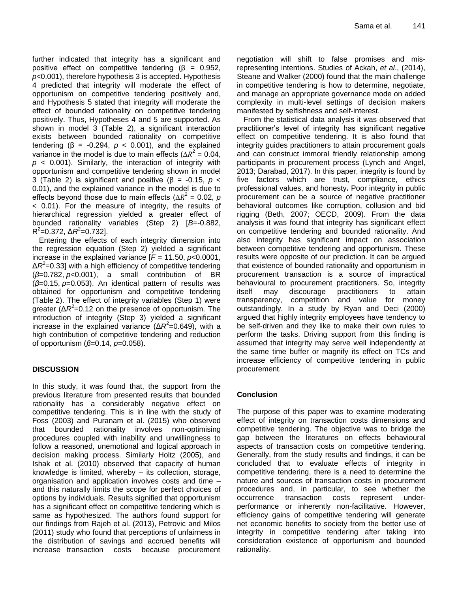further indicated that integrity has a significant and positive effect on competitive tendering  $(\beta = 0.952,$ *p*<0.001), therefore hypothesis 3 is accepted. Hypothesis 4 predicted that integrity will moderate the effect of opportunism on competitive tendering positively and, and Hypothesis 5 stated that integrity will moderate the effect of bounded rationality on competitive tendering positively. Thus, Hypotheses 4 and 5 are supported. As shown in model 3 (Table 2), a significant interaction exists between bounded rationality on competitive tendering  $(\beta = -0.294, p < 0.001)$ , and the explained variance in the model is due to main effects ( $\Delta R^2 = 0.04$ ,  $p$  < 0.001). Similarly, the interaction of integrity with opportunism and competitive tendering shown in model 3 (Table 2) is significant and positive (β = -0.15, *p* < 0.01), and the explained variance in the model is due to effects beyond those due to main effects ( $\Delta R^2$  = 0.02, p < 0.01). For the measure of integrity, the results of hierarchical regression yielded a greater effect of bounded rationality variables (Step 2) [*B*=-0.882,  $R^2$ =0.372,  $\Delta R^2$ =0.732].

Entering the effects of each integrity dimension into the regression equation (Step 2) yielded a significant increase in the explained variance  $[F = 11.50, p<0.0001]$ , Δ*R*<sup>2</sup>=0.33] with a high efficiency of competitive tendering (*β*=0.782, *p*<0.001), a small contribution of BR (*β*=0.15, *p*=0.053). An identical pattern of results was obtained for opportunism and competitive tendering (Table 2). The effect of integrity variables (Step 1) were greater (Δ*R* 2 =0.12 on the presence of opportunism. The introduction of integrity (Step 3) yielded a significant increase in the explained variance (ΔR<sup>2</sup>=0.649), with a high contribution of competitive tendering and reduction of opportunism (*β*=0.14, *p*=0.058).

## **DISCUSSION**

In this study, it was found that, the support from the previous literature from presented results that bounded rationality has a considerably negative effect on competitive tendering. This is in line with the study of Foss (2003) and Puranam et al. (2015) who observed that bounded rationality involves non-optimising procedures coupled with inability and unwillingness to follow a reasoned, unemotional and logical approach in decision making process. Similarly Holtz (2005), and Ishak et al. (2010) observed that capacity of human knowledge is limited, whereby – its collection, storage, organisation and application involves costs and time – and this naturally limits the scope for perfect choices of options by individuals. Results signified that opportunism has a significant effect on competitive tendering which is same as hypothesized. The authors found support for our findings from Rajeh et al. (2013), Petrovic and Milos (2011) study who found that perceptions of unfairness in the distribution of savings and accrued benefits will increase transaction costs because procurement

negotiation will shift to false promises and misrepresenting intentions. Studies of Ackah, *et al*., (2014), Steane and Walker (2000) found that the main challenge in competitive tendering is how to determine, negotiate, and manage an appropriate governance mode on added complexity in multi-level settings of decision makers manifested by selfishness and self-interest.

From the statistical data analysis it was observed that practitioner's level of integrity has significant negative effect on competitive tendering. It is also found that integrity guides practitioners to attain procurement goals and can construct immoral friendly relationship among participants in procurement process (Lynch and Angel, 2013; Darabad, 2017). In this paper, integrity is found by five factors which are trust, compliance, ethics professional values, and honesty**.** Poor integrity in public procurement can be a source of negative practitioner behavioral outcomes like corruption, collusion and bid rigging (Beth, 2007; OECD, 2009). From the data analysis it was found that integrity has significant effect on competitive tendering and bounded rationality. And also integrity has significant impact on association between competitive tendering and opportunism. These results were opposite of our prediction. It can be argued that existence of bounded rationality and opportunism in procurement transaction is a source of impractical behavioural to procurement practitioners. So, integrity itself may discourage practitioners to attain transparency, competition and value for money outstandingly. In a study by Ryan and Deci (2000) argued that highly integrity employees have tendency to be self-driven and they like to make their own rules to perform the tasks. Driving support from this finding is assumed that integrity may serve well independently at the same time buffer or magnify its effect on TCs and increase efficiency of competitive tendering in public procurement.

## **Conclusion**

The purpose of this paper was to examine moderating effect of integrity on transaction costs dimensions and competitive tendering. The objective was to bridge the gap between the literatures on effects behavioural aspects of transaction costs on competitive tendering. Generally, from the study results and findings, it can be concluded that to evaluate effects of integrity in competitive tendering, there is a need to determine the nature and sources of transaction costs in procurement procedures and, in particular, to see whether the occurrence transaction costs represent underperformance or inherently non-facilitative. However, efficiency gains of competitive tendering will generate net economic benefits to society from the better use of integrity in competitive tendering after taking into consideration existence of opportunism and bounded rationality.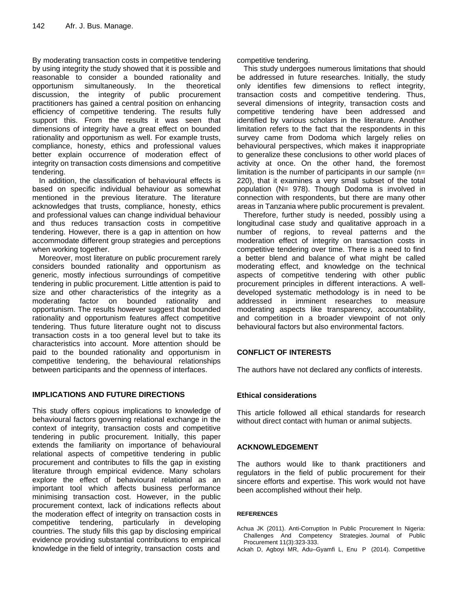By moderating transaction costs in competitive tendering by using integrity the study showed that it is possible and reasonable to consider a bounded rationality and opportunism simultaneously. In the theoretical discussion, the integrity of public procurement practitioners has gained a central position on enhancing efficiency of competitive tendering. The results fully support this. From the results it was seen that dimensions of integrity have a great effect on bounded rationality and opportunism as well. For example trusts, compliance, honesty, ethics and professional values better explain occurrence of moderation effect of integrity on transaction costs dimensions and competitive tendering.

In addition, the classification of behavioural effects is based on specific individual behaviour as somewhat mentioned in the previous literature. The literature acknowledges that trusts, compliance, honesty, ethics and professional values can change individual behaviour and thus reduces transaction costs in competitive tendering. However, there is a gap in attention on how accommodate different group strategies and perceptions when working together.

Moreover, most literature on public procurement rarely considers bounded rationality and opportunism as generic, mostly infectious surroundings of competitive tendering in public procurement. Little attention is paid to size and other characteristics of the integrity as a moderating factor on bounded rationality and opportunism. The results however suggest that bounded rationality and opportunism features affect competitive tendering. Thus future literature ought not to discuss transaction costs in a too general level but to take its characteristics into account. More attention should be paid to the bounded rationality and opportunism in competitive tendering, the behavioural relationships between participants and the openness of interfaces.

## **IMPLICATIONS AND FUTURE DIRECTIONS**

This study offers copious implications to knowledge of behavioural factors governing relational exchange in the context of integrity, transaction costs and competitive tendering in public procurement. Initially, this paper extends the familiarity on importance of behavioural relational aspects of competitive tendering in public procurement and contributes to fills the gap in existing literature through empirical evidence. Many scholars explore the effect of behavioural relational as an important tool which affects business performance minimising transaction cost. However, in the public procurement context, lack of indications reflects about the moderation effect of integrity on transaction costs in competitive tendering, particularly in developing countries. The study fills this gap by disclosing empirical evidence providing substantial contributions to empirical knowledge in the field of integrity, transaction costs and competitive tendering.

This study undergoes numerous limitations that should be addressed in future researches. Initially, the study only identifies few dimensions to reflect integrity, transaction costs and competitive tendering. Thus, several dimensions of integrity, transaction costs and competitive tendering have been addressed and identified by various scholars in the literature. Another limitation refers to the fact that the respondents in this survey came from Dodoma which largely relies on behavioural perspectives, which makes it inappropriate to generalize these conclusions to other world places of activity at once. On the other hand, the foremost limitation is the number of participants in our sample  $(n=$ 220), that it examines a very small subset of the total population (N= 978). Though Dodoma is involved in connection with respondents, but there are many other areas in Tanzania where public procurement is prevalent.

Therefore, further study is needed, possibly using a longitudinal case study and qualitative approach in a number of regions, to reveal patterns and the moderation effect of integrity on transaction costs in competitive tendering over time. There is a need to find a better blend and balance of what might be called moderating effect, and knowledge on the technical aspects of competitive tendering with other public procurement principles in different interactions. A welldeveloped systematic methodology is in need to be addressed in imminent researches to measure moderating aspects like transparency, accountability, and competition in a broader viewpoint of not only behavioural factors but also environmental factors.

# **CONFLICT OF INTERESTS**

The authors have not declared any conflicts of interests.

## **Ethical considerations**

This article followed all ethical standards for research without direct contact with human or animal subjects.

## **ACKNOWLEDGEMENT**

The authors would like to thank practitioners and regulators in the field of public procurement for their sincere efforts and expertise. This work would not have been accomplished without their help.

## **REFERENCES**

Achua JK (2011). Anti-Corruption In Public Procurement In Nigeria: Challenges And Competency Strategies. Journal of Public Procurement 11(3):323-333.

Ackah D, Agboyi MR, Adu–Gyamfi L, Enu P (2014). Competitive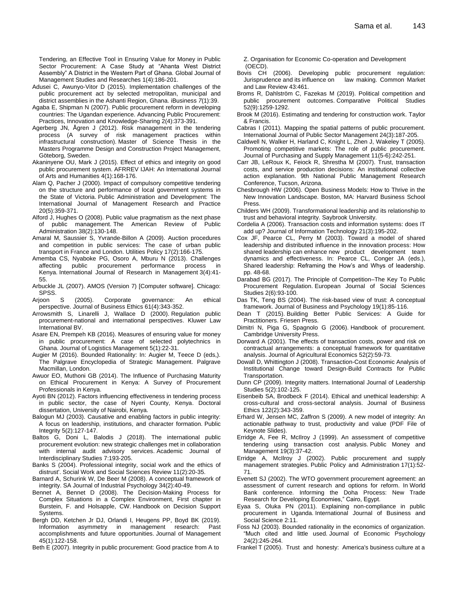Tendering, an Effective Tool in Ensuring Value for Money in Public Sector Procurement: A Case Study at "Ahanta West District Assembly" A District in the Western Part of Ghana. Global Journal of Management Studies and Researches 1(4):186-201.

- Adusei C, Awunyo-Vitor D (2015). Implementation challenges of the public procurement act by selected metropolitan, municipal and district assemblies in the Ashanti Region, Ghana. iBusiness *7*(1):39.
- Agaba E, Shipman N (2007). Public procurement reform in developing countries: The Ugandan experience. Advancing Public Procurement: Practices, Innovation and Knowledge-Sharing 2(4):373-391.
- Agerberg JN, Ågren J (2012). Risk management in the tendering process (A survey of risk management practices within infrastructural construction). Master of Science Thesis in the Masters Programme Design and Construction Project Management, Göteborg, Sweden.
- Akaninyene OU, Mark J (2015). Effect of ethics and integrity on good public procurement system. AFRREV IJAH: An International Journal of Arts and Humanities 4(1):168-176.
- Alam Q, Pacher J (2000). Impact of compulsory competitive tendering on the structure and performance of local government systems in the State of Victoria. Public Administration and Development: The International Journal of Management Research and Practice 20(5):359-371.
- Alford J, Hughes O (2008). Public value pragmatism as the next phase of public management. The American Review of Public Administration 38(2):130-148.
- Amaral M, Saussier S, Yvrande-Billon A (2009). Auction procedures and competition in public services: The case of urban public transport in France and London. Utilities Policy 17(2):166-175.
- Amemba CS, Nyaboke PG, Osoro A, Mburu N (2013). Challenges affecting public procurement performance process in Kenya. International Journal of Research in Management 3(4):41- 55.
- Arbuckle JL (2007). AMOS (Version 7) [Computer software]. Chicago: SPSS.
- Arjoon S (2005). Corporate governance: An ethical perspective. Journal of Business Ethics 61(4):343-352.
- Arrowsmith S, Linarelli J, Wallace D (2000). Regulation public procurement-national and international perspectives. Kluwer Law International BV.
- Asare EN, Prempeh KB (2016). Measures of ensuring value for money in public procurement: A case of selected polytechnics in Ghana. Journal of Logistics Management 5(1):22-31.
- Augier M (2016). Bounded Rationality: In: Augier M, Teece D (eds,). The Palgrave Encyclopedia of Strategic Management. Palgrave Macmillan, London.
- Awuor EO, Muthoni GB (2014). The Influence of Purchasing Maturity on Ethical Procurement in Kenya: A Survey of Procurement Professionals in Kenya.
- Ayoti BN (2012). Factors influencing effectiveness in tendering process in public sector, the case of Nyeri County, Kenya. Doctoral dissertation, University of Nairobi, Kenya.
- Balogun MJ (2003). Causative and enabling factors in public integrity: A focus on leadership, institutions, and character formation. Public Integrity 5(2):127-147.
- Baltos G, Doni L, Balodis J (2018). The international public procurement evolution: new strategic challenges met in collaboration with internal audit advisory services. Academic Journal of Interdisciplinary Studies 7:193-205.
- Banks S (2004). Professional integrity, social work and the ethics of distrust'. Social Work and Social Sciences Review 11(2):20-35.
- Barnard A, Schurink W, De Beer M (2008). A conceptual framework of integrity. SA Journal of Industrial Psychology 34(2):40-49.
- Bennet A, Bennet D (2008). The Decision-Making Process for Complex Situations in a Complex Environment, First chapter in Burstein, F. and Holsapple, CW. Handbook on Decision Support Systems.
- Bergh DD, Ketchen Jr DJ, Orlandi I, Heugens PP, Boyd BK (2019). Information asymmetry in management research: Past accomplishments and future opportunities. Journal of Management 45(1):122-158.

Beth E (2007). Integrity in public procurement: Good practice from A to

Z. Organisation for Economic Co-operation and Development (OECD).

- Bovis CH (2006). Developing public procurement regulation: Jurisprudence and its influence on law making. Common Market and Law Review 43:461.
- Broms R, Dahlström C, Fazekas M (2019). Political competition and public procurement outcomes. Comparative Political Studies 52(9):1259-1292.
- Brook M (2016). Estimating and tendering for construction work. Taylor & Francis.
- Cabras I (2011). Mapping the spatial patterns of public procurement. International Journal of Public Sector Management 24(3):187-205.
- Caldwell N, Walker H, Harland C, Knight L, Zhen J, Wakeley T (2005). Promoting competitive markets: The role of public procurement. Journal of Purchasing and Supply Management 11(5-6):242-251.
- Carr JB, LeRoux K, Feiock R, Shrestha M (2007). Trust, transaction costs, and service production decisions: An institutional collective action explanation. 9th National Public Management Research Conference, Tucson, Arizona.
- Chesbrough HW (2006). Open Business Models: How to Thrive in the New Innovation Landscape. Boston, MA: Harvard Business School Press.
- Childers WH (2009). Transformational leadership and its relationship to trust and behavioral integrity. Saybrook University.
- Cordelia A (2006). Transaction costs and information systems: does IT add up? Journal of Information Technology 21(3):195-202.
- Cox JF, Pearce CL, Perry M (2003). Toward a model of shared leadership and distributed influence in the innovation process: How shared leadership can enhance new product development team dynamics and effectiveness. In: Pearce CL, Conger JA (eds.), Shared leadership: Reframing the How's and Whys of leadership. pp. 48-68.
- Darabad BG (2017). The Principle of Competition–The Key To Public Procurement Regulation. European Journal of Social Sciences Studies 2(6):93-100.
- Das TK, Teng BS (2004). The risk-based view of trust: A conceptual framework. Journal of Business and Psychology 19(1):85-116.
- Dean T (2015). Building Better Public Services: A Guide for Practitioners. Friesen Press.
- Dimitri N, Piga G, Spagnolo G (2006). Handbook of procurement. Cambridge University Press.
- Dorward A (2001). The effects of transaction costs, power and risk on contractual arrangements: a conceptual framework for quantitative analysis. Journal of Agricultural Economics 52(2):59-73.
- Dowall D, Whittington J (2008). Transaction-Cost Economic Analysis of Institutional Change toward Design-Build Contracts for Public Transportation.
- Dunn CP (2009). Integrity matters*.* International Journal of Leadership Studies 5(2):102-125.
- Eisenbeib SA, Brodbeck F (2014). Ethical and unethical leadership: A cross-cultural and cross-sectoral analysis. Journal of Business Ethics 122(2):343-359.
- Erhard W, Jensen MC, Zaffron S (2009). A new model of integrity: An actionable pathway to trust, productivity and value (PDF File of Keynote Slides).
- Erridge A, Fee R, McIlroy J (1999). An assessment of competitive tendering using transaction cost analysis. Public Money and Management 19(3):37-42.
- Erridge A, McIlroy J (2002). Public procurement and supply management strategies. Public Policy and Administration 17(1):52- 71.
- Evenett SJ (2002). The WTO government procurement agreement: an assessment of current research and options for reform. In World Bank conference. Informing the Doha Process: New Trade Research for Developing Economies," Cairo, Egypt.
- Eyaa S, Oluka PN (2011). Explaining non-compliance in public procurement in Uganda. International Journal of Business and Social Science 2:11.
- Foss NJ (2003). Bounded rationality in the economics of organization. "Much cited and little used. Journal of Economic Psychology 24(2):245-264.
- Frankel T (2005). Trust and honesty: America's business culture at a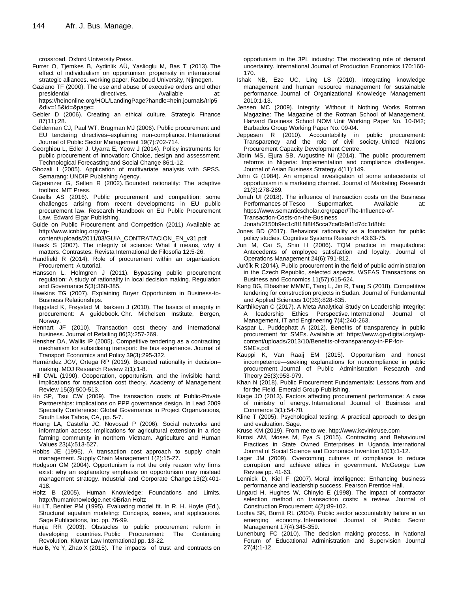crossroad. Oxford University Press.

- Furrer O, Tjemkes B, Aydinlik AÜ, Yaslioglu M, Bas T (2013). The effect of individualism on opportunism propensity in international strategic alliances. working paper, Radboud University, Nijmegen.
- Gaziano TF (2000). The use and abuse of executive orders and other presidential directives. Available at: [https://heinonline.org/HOL/LandingPage?handle=hein.journals/trlp5](https://heinonline.org/HOL/LandingPage?handle=hein.journals/trlp5&div=15&id=&page) [&div=15&id=&page=](https://heinonline.org/HOL/LandingPage?handle=hein.journals/trlp5&div=15&id=&page)
- Gebler D (2006). Creating an ethical culture. Strategic Finance 87(11):28.
- Gelderman CJ, Paul WT, Brugman MJ (2006). Public procurement and EU tendering directives–explaining non‐compliance. International Journal of Public Sector Management 19(7):702-714.
- Georghiou L, Edler J, Uyarra E, Yeow J (2014). Policy instruments for public procurement of innovation: Choice, design and assessment. Technological Forecasting and Social Change 86:1-12.
- Ghozali I (2005). Application of multivariate analysis with SPSS. Semarang: UNDIP Publishing Agency.
- Gigerenzer G, Selten R (2002). Bounded rationality: The adaptive toolbox. MIT Press.
- Graells AS (2016). Public procurement and competition: some challenges arising from recent developments in EU public procurement law. Research Handbook on EU Public Procurement Law. Edward Elgar Publishing.
- Guide on Public Procurement and Competition (2011) Available at: [http://www.icnblog.org/wp-](http://www.icnblog.org/wp-content/uploads/2011/03/GUIA_CONTRATACION_EN_v31.pdf)

[content/uploads/2011/03/GUIA\\_CONTRATACION\\_EN\\_v31.pdf](http://www.icnblog.org/wp-content/uploads/2011/03/GUIA_CONTRATACION_EN_v31.pdf)

- Haack S (2007). The integrity of science: What it means, why it matters. Contrastes: Revista International de Filosofia 12:5-26.
- Handfield R (2014). Role of procurement within an organization: Procurement: A tutorial.
- Hansson L, Holmgren J (2011). Bypassing public procurement regulation: A study of rationality in local decision making. Regulation and Governance 5(3):368-385.
- Hawkins TG (2007). Explaining Buyer Opportunism in Business-to-Business Relationships.
- Heggstad K, Frøystad M, Isaksen J (2010). The basics of integrity in procurement: A guidebook. Chr. Michelsen Institute, Bergen, Norway.
- Hennart JF (2010). Transaction cost theory and international business. Journal of Retailing 86(3):257-269.
- Hensher DA, Wallis IP (2005). Competitive tendering as a contracting mechanism for subsidising transport: the bus experience. Journal of Transport Economics and Policy 39(3):295-322.
- Hernández JGV, Ortega RP (2019). Bounded rationality in decision– making. MOJ Research Review 2(1):1-8.
- Hill CWL (1990). Cooperation, opportunism, and the invisible hand: implications for transaction cost theory. Academy of Management Review 15(3):500-513.
- Ho SP, Tsui CW (2009). The transaction costs of Public-Private Partnerships: implications on PPP governance design. In Lead 2009 Specialty Conference: Global Governance in Project Organizations, South Lake Tahoe, CA, pp. 5-7.
- Hoang LA, Castella JC, Novosad P (2006). Social networks and information access: Implications for agricultural extension in a rice farming community in northern Vietnam. Agriculture and Human Values 23(4):513-527.
- Hobbs JE (1996). A transaction cost approach to supply chain management. Supply Chain Management 1(2):15-27.
- Hodgson GM (2004). Opportunism is not the only reason why firms exist: why an explanatory emphasis on opportunism may mislead management strategy. Industrial and Corporate Change 13(2):401- 418.

Holtz B (2005). Human Knowledge: Foundations and Limits. http://humanknowledge.net ©Brian Holtz

- Hu LT, Bentler PM (1995). Evaluating model fit. In R. H. Hoyle (Ed.), Structural equation modeling: Concepts, issues, and applications. Sage Publications, Inc. pp. 76-99.
- Hunja RR (2003). Obstacles to public procurement reform in developing countries. Public Procurement: The Continuing Revolution, Kluwer Law International pp. 13-22.

Huo B, Ye Y, Zhao X (2015). The impacts of trust and contracts on

opportunism in the 3PL industry: The moderating role of demand uncertainty. International Journal of Production Economics 170:160- 170.

- Ishak NB, Eze UC, Ling LS (2010). Integrating knowledge management and human resource management for sustainable performance. Journal of Organizational Knowledge Management 2010:1-13.
- Jensen MC (2009). Integrity: Without it Nothing Works Rotman Magazine: The Magazine of the Rotman School of Management. Harvard Business School NOM Unit Working Paper No. 10-042; Barbados Group Working Paper No. 09-04.
- Jeppesen R (2010). Accountability in public procurement: Transparency and the role of civil society. United Nations Procurement Capacity Development Centre.
- Jibrin MS, Ejura SB, Augustine NI (2014). The public procurement reforms in Nigeria: Implementation and compliance challenges. Journal of Asian Business Strategy 4(11):149.
- John G (1984). An empirical investigation of some antecedents of opportunism in a marketing channel. Journal of Marketing Research 21(3):278-289.
- Jonah UI (2018). The influence of transaction costs on the Business Performances of Tesco Supermarket. Available at: https://www.semanticscholar.org/paper/The-Influence-of-Transaction-Costs-on-the-Business
	- Jonah/2150b9ec1c8f18f8f45cca7ca0b9d1d7dc1d8bfc
- Jones BD (2017). Behavioral rationality as a foundation for public policy studies. Cognitive Systems Research 43:63-75.
- Jun M, Cai S, Shin H (2006). TQM practice in maquiladora: Antecedents of employee satisfaction and loyalty. Journal of Operations Management 24(6):791-812.
- Jurčík R (2014). Public procurement in the field of public administration in the Czech Republic, selected aspects. WSEAS Transactions on Business and Economics 11(57):615-624.
- Kang BG, Elbashier MMME, Tang L, Jin R, Tang S (2018). Competitive tendering for construction projects in Sudan. Journal of Fundamental and Applied Sciences 10(3S):828-835.
- Karthikeyan C (2017). A Meta Analytical Study on Leadership Integrity: A leadership Ethics Perspective. International Journal Management, IT and Engineering 7(4):240-263.
- Kaspar L, Puddephatt A (2012). Benefits of transparency in public procurement for SMEs. Available at: https://www.gp-digital.org/wpcontent/uploads/2013/10/Benefits-of-transparency-in-PP-for-SMEs.pdf
- Kauppi K, Van Raaij EM (2015). Opportunism and honest incompetence—seeking explanations for noncompliance in public procurement. Journal of Public Administration Research and Theory 25(3):953-979.
- Khan N (2018). Public Procurement Fundamentals: Lessons from and for the Field. Emerald Group Publishing.
- Kiage JO (2013). Factors affecting procurement performance: A case of ministry of energy. International Journal of Business and Commerce 3(1):54-70.
- Kline T (2005). Psychological testing: A practical approach to design and evaluation. Sage.
- Kruse KM (2019). From me to we. [http://www.kevinkruse.com](http://www.kevinkruse.com/)
- Kutosi AM, Moses M, Eya S (2015). Contracting and Behavioural Practices in State Owned Enterprises in Uganda. International Journal of Social Science and Economics Invention 1(01):1-12.
- Lager JM (2009). Overcoming cultures of compliance to reduce corruption and achieve ethics in government. McGeorge Law Review pp. 41-63.
- Lennick D, Kiel F (2007). Moral intelligence: Enhancing business performance and leadership success. Pearson Prentice Hall.
- Lingard H, Hughes W, Chinyio E (1998). The impact of contractor selection method on transaction costs: a review. Journal of Construction Procurement 4(2):89-102.
- Lodhia SK, Burritt RL (2004). Public sector accountability failure in an emerging economy. International Journal of Public Sector Management 17(4):345-359.
- Lunenburg FC (2010). The decision making process. In National Forum of Educational Administration and Supervision Journal 27(4):1-12.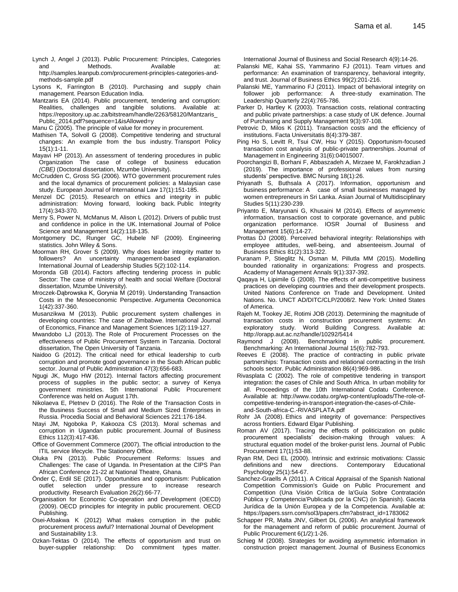- Lynch J, Angel J (2013). Public Procurement: Principles, Categories and Methods. Available at: http://samples.leanpub.com/procurement-principles-categories-andmethods-sample.pdf
- Lysons K, Farrington B (2010). Purchasing and supply chain management. Pearson Education India.
- Mantzaris EA (2014). Public procurement, tendering and corruption: Realities, challenges and tangible solutions. Available at: https://repository.up.ac.za/bitstream/handle/2263/58120/Mantzaris\_ Public\_2014.pdf?sequence=1&isAllowed=y
- Manu C (2005). The principle of value for money in procurement.
- Mathisen TA, Solvoll G (2008). Competitive tendering and structural changes: An example from the bus industry. Transport Policy 15(1):1-11.
- Mayavi HP (2013). An assessment of tendering procedures in public Organization The case of college of business education *(CBE)* (Doctoral dissertation, Mzumbe University).
- McCrudden C, Gross SG (2006). WTO government procurement rules and the local dynamics of procurement policies: a Malaysian case study. European Journal of International Law 17(1):151-185.
- Menzel DC (2015). Research on ethics and integrity in public administration: Moving forward, looking back. Public Integrity 17(4):343-370.
- Merry S, Power N, McManus M, Alison L (2012). Drivers of public trust and confidence in police in the UK. International Journal of Police Science and Management 14(2):118-135.
- Montgomery DC, Runger GC, Hubele NF (2009). Engineering statistics. John Wiley & Sons.
- Moorman RH, Grover S (2009). Why does leader integrity matter to followers? An uncertainty management-based explanation. International Journal of Leadership Studies 5(2):102-114.
- Moronda GB (2014). Factors affecting tendering process in public Sector: The case of ministry of health and social Welfare (Doctoral dissertation, Mzumbe University).
- Mroczek-Dąbrowska K, Gorynia M (2019). Understanding Transaction Costs in the Mesoeconomic Perspective. Argumenta Oeconomica 1(42):337-360.
- Musanzikwa M (2013). Public procurement system challenges in developing countries: The case of Zimbabwe. International Journal of Economics, Finance and Management Sciences 1(2):119-127.
- Mwandobo LJ (2013). The Role of Procurement Processes on the effectiveness of Public Procurement System in Tanzania. Doctoral dissertation, The Open University of Tanzania.
- Naidoo G (2012). The critical need for ethical leadership to curb corruption and promote good governance in the South African public sector. Journal of Public Administration 47(3):656-683.
- Ngugi JK, Mugo HW (2012). Internal factors affecting procurement process of supplies in the public sector; a survey of Kenya government ministries. 5th International Public Procurement Conference was held on August 17th.
- Nikolaeva E, Pletnev D (2016). The Role of the Transaction Costs in the Business Success of Small and Medium Sized Enterprises in Russia. Procedia Social and Behavioral Sciences 221:176-184.
- Ntayi JM, Ngoboka P, Kakooza CS (2013). Moral schemas and corruption in Ugandan public procurement. Journal of Business Ethics 112(3):417-436.
- Office of Government Commerce (2007). The official introduction to the ITIL service lifecycle. The Stationery Office.
- Oluka PN (2013). Public Procurement Reforms: Issues and Challenges: The case of Uganda. In Presentation at the CIPS Pan African Conference 21-22 at National Theatre, Ghana.
- Önder Ç, Erdil SE (2017). Opportunities and opportunism: Publication outlet selection under pressure to increase research productivity. Research Evaluation 26(2):66-77.
- Organisation for Economic Co-operation and Development (OECD) (2009). OECD principles for integrity in public procurement. OECD Publishing.
- Osei-Afoakwa K (2012) What makes corruption in the public procurement process awful? International Journal of Development and Sustainability 1:3.
- Ozkan-Tektas O (2014). The effects of opportunism and trust on buyer-supplier relationship: Do commitment types matter.

International Journal of Business and Social Research 4(9):14-26.

- Palanski ME, Kahai SS, Yammarino FJ (2011). Team virtues and performance: An examination of transparency, behavioral integrity, and trust. Journal of Business Ethics 99(2):201-216.
- Palanski ME, Yammarino FJ (2011). Impact of behavioral integrity on follower job performance: A three-study examination. The Leadership Quarterly 22(4):765-786.
- Parker D, Hartley K (2003). Transaction costs, relational contracting and public private partnerships: a case study of UK defence. Journal of Purchasing and Supply Management 9(3):97-108.
- Petrovic D, Milos K (2011). Transaction costs and the efficiency of institutions. Facta Universitatis 8(4):379-387.
- Ping Ho S, Levitt R, Tsui CW, Hsu Y (2015). Opportunism-focused transaction cost analysis of public-private partnerships. Journal of Management in Engineering 31(6):04015007.
- Poorchangizi B, Borhani F, Abbaszadeh A, Mirzaee M, Farokhzadian J (2019). The importance of professional values from nursing students' perspective. BMC Nursing 18(1):26.
- Priyanath S, Buthsala A (2017). Information, opportunism and business performance: A case of small businesses managed by women entrepreneurs in Sri Lanka. Asian Journal of Multidisciplinary Studies 5(11):230-239.
- Priyanto E, Maryunani G, Khusaini M (2014). Effects of asymmetric information, transaction cost to corporate governance, and public organization performance. IOSR Journal of Business and Management 15(6):14-27.
- Prottas DJ (2008). Perceived behavioral integrity: Relationships with employee attitudes, well-being, and absenteeism. Journal of Business Ethics 81(2):313-322.
- Puranam P, Stieglitz N, Osman M, Pillutla MM (2015). Modelling bounded rationality in organizations: Progress and prospects. Academy of Management Annals 9(1):337-392.
- Qaqaya H, Lipimile G (2008). The effects of anti-competitive business practices on developing countries and their development prospects. United Nations Conference on Trade and Development. United Nations. No. UNCT AD/DITC/CLP/2008/2. New York: United States of America.
- Rajeh M, Tookey JE, Rotimi JOB (2013). Determining the magnitude of transaction costs in construction procurement systems: An exploratory study. World Building Congress. Available at: <http://orapp.aut.ac.nz/handle/10292/5414>
- Raymond J (2008). Benchmarking in public procurement. Benchmarking: An International Journal 15(6):782-793.
- Reeves E (2008). The practice of contracting in public private partnerships: Transaction costs and relational contracting in the Irish schools sector. Public Administration 86(4):969-986.
- Rivasplata C (2002). The role of competitive tendering in transport integration: the cases of Chile and South Africa. In urban mobility for all. Proceedings of the 10th International Codatu Conference. Available at: [http://www.codatu.org/wp-content/uploads/The-role-of](http://www.codatu.org/wp-content/uploads/The-role-of-competitive-tendering-in-transport-integration-the-cases-of-Chile-and-South-africa-C.-RIVASPLATA.pdf)[competitive-tendering-in-transport-integration-the-cases-of-Chile](http://www.codatu.org/wp-content/uploads/The-role-of-competitive-tendering-in-transport-integration-the-cases-of-Chile-and-South-africa-C.-RIVASPLATA.pdf)[and-South-africa-C.-RIVASPLATA.pdf](http://www.codatu.org/wp-content/uploads/The-role-of-competitive-tendering-in-transport-integration-the-cases-of-Chile-and-South-africa-C.-RIVASPLATA.pdf)
- Rohr JA (2008). Ethics and integrity of governance: Perspectives across frontiers. Edward Elgar Publishing.
- Roman AV (2017). Tracing the effects of politicization on public procurement specialists' decision-making through values: A structural equation model of the broker-purist lens. Journal of Public Procurement 17(1):53-88.
- Ryan RM, Deci EL (2000). Intrinsic and extrinsic motivations: Classic definitions and new directions. Contemporary Educational Psychology 25(1):54-67.
- Sanchez-Graells A (2011). A Critical Appraisal of the Spanish National Competition Commission's Guide on Public Procurement and Competition (Una Visión Crítica de la'Guía Sobre Contratación Pública y Competencia'Publicada por la CNC) (in Spanish). Gaceta Jurídica de la Unión Europea y de la Competencia. Available at: [https://papers.ssrn.com/sol3/papers.cfm?abstract\\_id=1783062](https://papers.ssrn.com/sol3/papers.cfm?abstract_id=1783062)
- Schapper PR, Malta JNV, Gilbert DL (2006). An analytical framework for the management and reform of public procurement. Journal of Public Procurement 6(1/2):1-26.
- Schieg M (2008). Strategies for avoiding asymmetric information in construction project management. Journal of Business Economics